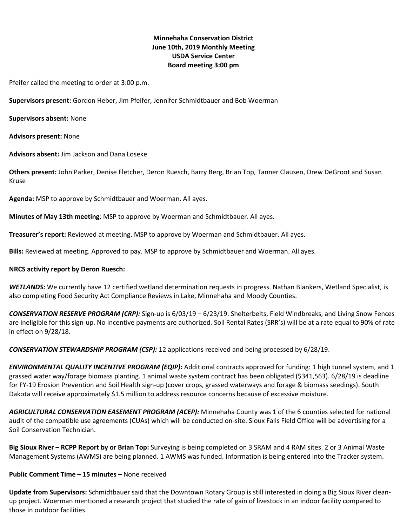# **Minnehaha Conservation District June 10th, 2019 Monthly Meeting USDA Service Center Board meeting 3:00 pm**

Pfeifer called the meeting to order at 3:00 p.m.

**Supervisors present:** Gordon Heber, Jim Pfeifer, Jennifer Schmidtbauer and Bob Woerman

**Supervisors absent:** None

**Advisors present:** None

**Advisors absent:** Jim Jackson and Dana Loseke

**Others present:** John Parker, Denise Fletcher, Deron Ruesch, Barry Berg, Brian Top, Tanner Clausen, Drew DeGroot and Susan Kruse

**Agenda:** MSP to approve by Schmidtbauer and Woerman. All ayes.

**Minutes of May 13th meeting**: MSP to approve by Woerman and Schmidtbauer. All ayes.

**Treasurer's report:** Reviewed at meeting. MSP to approve by Woerman and Schmidtbauer. All ayes.

**Bills:** Reviewed at meeting. Approved to pay. MSP to approve by Schmidtbauer and Woerman. All ayes.

#### **NRCS activity report by Deron Ruesch:**

*WETLANDS:* We currently have 12 certified wetland determination requests in progress. Nathan Blankers, Wetland Specialist, is also completing Food Security Act Compliance Reviews in Lake, Minnehaha and Moody Counties.

*CONSERVATION RESERVE PROGRAM (CRP):* Sign-up is 6/03/19 – 6/23/19. Shelterbelts, Field Windbreaks, and Living Snow Fences are ineligible for this sign-up. No Incentive payments are authorized. Soil Rental Rates (SRR's) will be at a rate equal to 90% of rate in effect on 9/28/18.

*CONSERVATION STEWARDSHIP PROGRAM (CSP):* 12 applications received and being processed by 6/28/19.

*ENVIRONMENTAL QUALITY INCENTIVE PROGRAM (EQIP):* Additional contracts approved for funding: 1 high tunnel system, and 1 grassed water way/forage biomass planting. 1 animal waste system contract has been obligated (\$341,563). 6/28/19 is deadline for FY-19 Erosion Prevention and Soil Health sign-up (cover crops, grassed waterways and forage & biomass seedings). South Dakota will receive approximately \$1.5 million to address resource concerns because of excessive moisture.

*AGRICULTURAL CONSERVATION EASEMENT PROGRAM (ACEP):* Minnehaha County was 1 of the 6 counties selected for national audit of the compatible use agreements (CUAs) which will be conducted on-site. Sioux Falls Field Office will be advertising for a Soil Conservation Technician.

**Big Sioux River – RCPP Report by or Brian Top:** Surveying is being completed on 3 SRAM and 4 RAM sites. 2 or 3 Animal Waste Management Systems (AWMS) are being planned. 1 AWMS was funded. Information is being entered into the Tracker system.

**Public Comment Time – 15 minutes –** None received

**Update from Supervisors:** Schmidtbauer said that the Downtown Rotary Group is still interested in doing a Big Sioux River cleanup project. Woerman mentioned a research project that studied the rate of gain of livestock in an indoor facility compared to those in outdoor facilities.